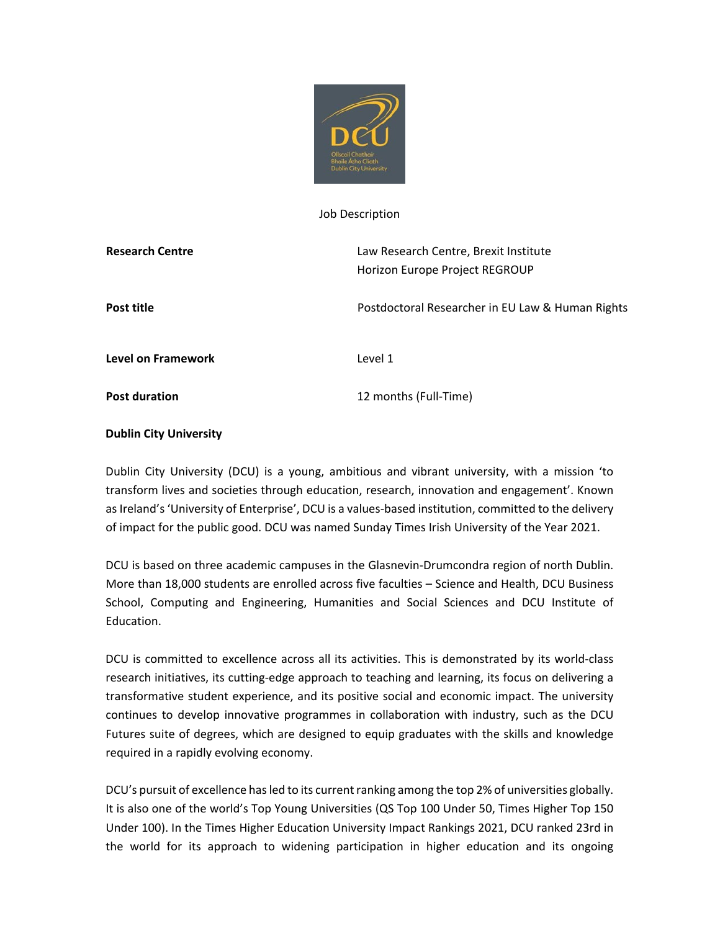

#### Job Description

| <b>Research Centre</b>    | Law Research Centre, Brexit Institute<br>Horizon Europe Project REGROUP |
|---------------------------|-------------------------------------------------------------------------|
| Post title                | Postdoctoral Researcher in EU Law & Human Rights                        |
| <b>Level on Framework</b> | Level 1                                                                 |
| <b>Post duration</b>      | 12 months (Full-Time)                                                   |

## **Dublin City University**

Dublin City University (DCU) is a young, ambitious and vibrant university, with a mission 'to transform lives and societies through education, research, innovation and engagement'. Known as Ireland's 'University of Enterprise', DCU is a values-based institution, committed to the delivery of impact for the public good. DCU was named Sunday Times Irish University of the Year 2021.

DCU is based on three academic campuses in the Glasnevin-Drumcondra region of north Dublin. More than 18,000 students are enrolled across five faculties – Science and Health, DCU Business School, Computing and Engineering, Humanities and Social Sciences and DCU Institute of Education.

DCU is committed to excellence across all its activities. This is demonstrated by its world-class research initiatives, its cutting-edge approach to teaching and learning, its focus on delivering a transformative student experience, and its positive social and economic impact. The university continues to develop innovative programmes in collaboration with industry, such as the DCU Futures suite of degrees, which are designed to equip graduates with the skills and knowledge required in a rapidly evolving economy.

DCU's pursuit of excellence has led to its current ranking among the top 2% of universities globally. It is also one of the world's Top Young Universities (QS Top 100 Under 50, Times Higher Top 150 Under 100). In the Times Higher Education University Impact Rankings 2021, DCU ranked 23rd in the world for its approach to widening participation in higher education and its ongoing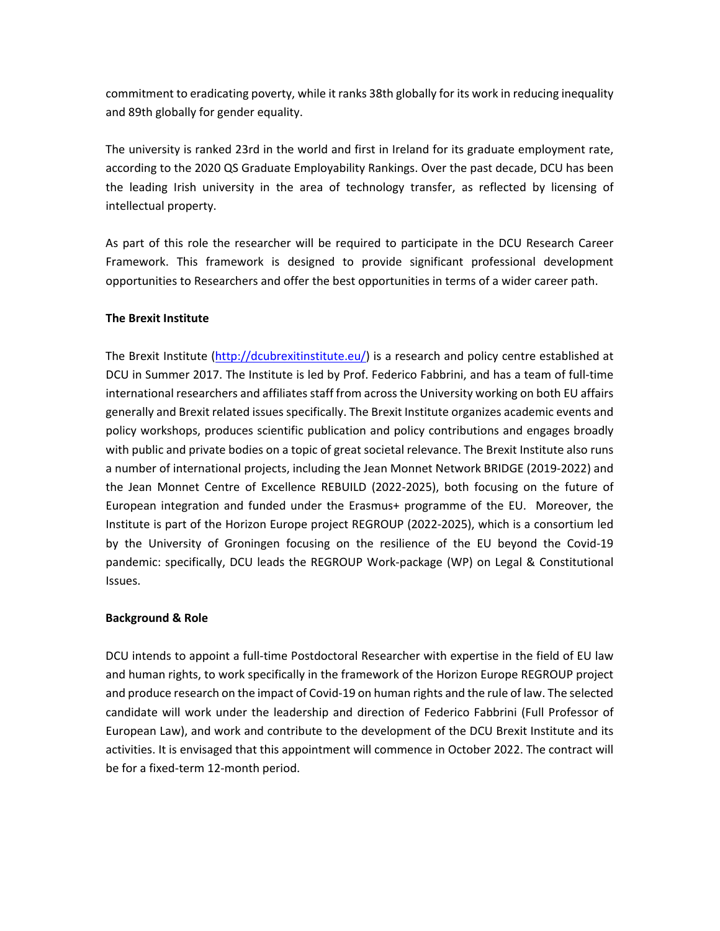commitment to eradicating poverty, while it ranks 38th globally for its work in reducing inequality and 89th globally for gender equality.

The university is ranked 23rd in the world and first in Ireland for its graduate employment rate, according to the 2020 QS Graduate Employability Rankings. Over the past decade, DCU has been the leading Irish university in the area of technology transfer, as reflected by licensing of intellectual property.

As part of this role the researcher will be required to participate in the DCU Research Career Framework. This framework is designed to provide significant professional development opportunities to Researchers and offer the best opportunities in terms of a wider career path.

## **The Brexit Institute**

The Brexit Institute [\(http://dcubrexitinstitute.eu/\)](http://dcubrexitinstitute.eu/) is a research and policy centre established at DCU in Summer 2017. The Institute is led by Prof. Federico Fabbrini, and has a team of full-time international researchers and affiliates staff from across the University working on both EU affairs generally and Brexit related issues specifically. The Brexit Institute organizes academic events and policy workshops, produces scientific publication and policy contributions and engages broadly with public and private bodies on a topic of great societal relevance. The Brexit Institute also runs a number of international projects, including the Jean Monnet Network BRIDGE (2019-2022) and the Jean Monnet Centre of Excellence REBUILD (2022-2025), both focusing on the future of European integration and funded under the Erasmus+ programme of the EU. Moreover, the Institute is part of the Horizon Europe project REGROUP (2022-2025), which is a consortium led by the University of Groningen focusing on the resilience of the EU beyond the Covid-19 pandemic: specifically, DCU leads the REGROUP Work-package (WP) on Legal & Constitutional Issues.

## **Background & Role**

DCU intends to appoint a full-time Postdoctoral Researcher with expertise in the field of EU law and human rights, to work specifically in the framework of the Horizon Europe REGROUP project and produce research on the impact of Covid-19 on human rights and the rule of law. The selected candidate will work under the leadership and direction of Federico Fabbrini (Full Professor of European Law), and work and contribute to the development of the DCU Brexit Institute and its activities. It is envisaged that this appointment will commence in October 2022. The contract will be for a fixed-term 12-month period.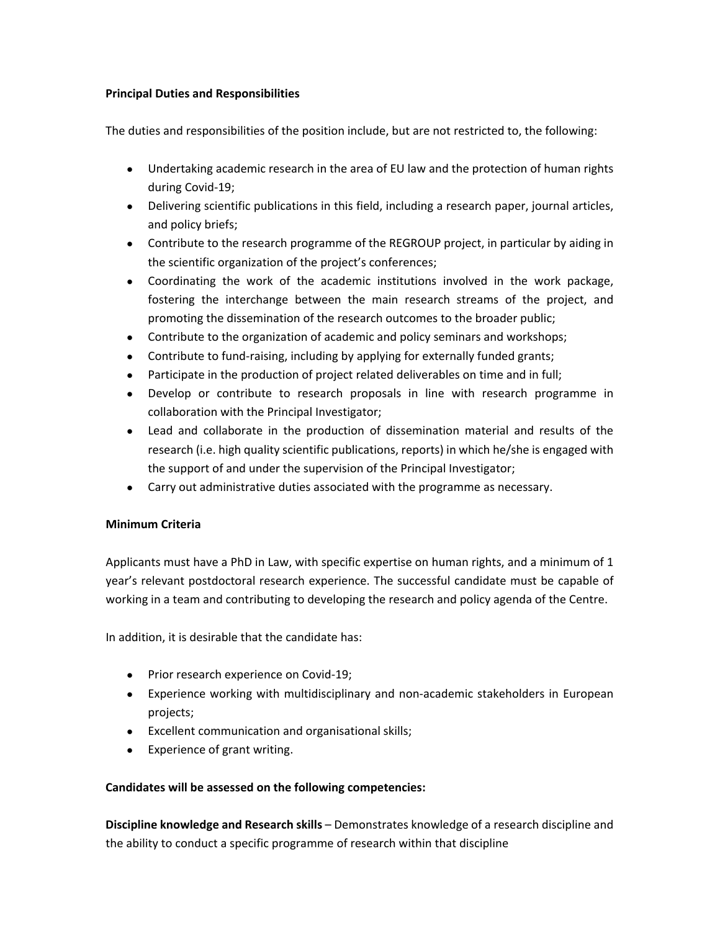## **Principal Duties and Responsibilities**

The duties and responsibilities of the position include, but are not restricted to, the following:

- Undertaking academic research in the area of EU law and the protection of human rights during Covid-19;
- Delivering scientific publications in this field, including a research paper, journal articles, and policy briefs;
- Contribute to the research programme of the REGROUP project, in particular by aiding in the scientific organization of the project's conferences;
- Coordinating the work of the academic institutions involved in the work package, fostering the interchange between the main research streams of the project, and promoting the dissemination of the research outcomes to the broader public;
- Contribute to the organization of academic and policy seminars and workshops;
- Contribute to fund-raising, including by applying for externally funded grants;
- Participate in the production of project related deliverables on time and in full;
- Develop or contribute to research proposals in line with research programme in collaboration with the Principal Investigator;
- Lead and collaborate in the production of dissemination material and results of the research (i.e. high quality scientific publications, reports) in which he/she is engaged with the support of and under the supervision of the Principal Investigator;
- Carry out administrative duties associated with the programme as necessary.

# **Minimum Criteria**

Applicants must have a PhD in Law, with specific expertise on human rights, and a minimum of 1 year's relevant postdoctoral research experience. The successful candidate must be capable of working in a team and contributing to developing the research and policy agenda of the Centre.

In addition, it is desirable that the candidate has:

- Prior research experience on Covid-19;
- Experience working with multidisciplinary and non-academic stakeholders in European projects;
- Excellent communication and organisational skills;
- Experience of grant writing.

# **Candidates will be assessed on the following competencies:**

**Discipline knowledge and Research skills** – Demonstrates knowledge of a research discipline and the ability to conduct a specific programme of research within that discipline